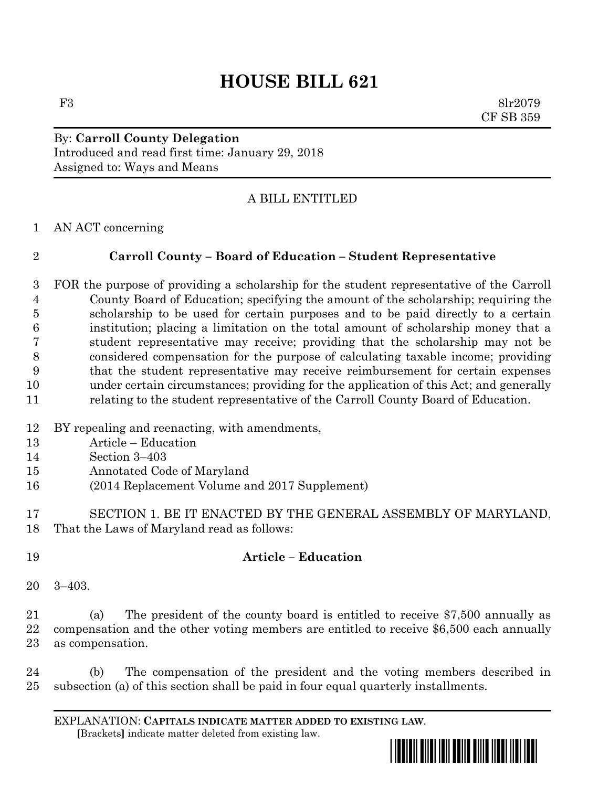## **HOUSE BILL 621**

F3 8lr2079 CF SB 359

By: **Carroll County Delegation** Introduced and read first time: January 29, 2018 Assigned to: Ways and Means

## A BILL ENTITLED

AN ACT concerning

## **Carroll County – Board of Education – Student Representative**

 FOR the purpose of providing a scholarship for the student representative of the Carroll County Board of Education; specifying the amount of the scholarship; requiring the scholarship to be used for certain purposes and to be paid directly to a certain institution; placing a limitation on the total amount of scholarship money that a student representative may receive; providing that the scholarship may not be considered compensation for the purpose of calculating taxable income; providing that the student representative may receive reimbursement for certain expenses under certain circumstances; providing for the application of this Act; and generally relating to the student representative of the Carroll County Board of Education.

- BY repealing and reenacting, with amendments,
- Article Education
- Section 3–403
- Annotated Code of Maryland
- (2014 Replacement Volume and 2017 Supplement)
- SECTION 1. BE IT ENACTED BY THE GENERAL ASSEMBLY OF MARYLAND, That the Laws of Maryland read as follows:

## **Article – Education**

3–403.

 (a) The president of the county board is entitled to receive \$7,500 annually as compensation and the other voting members are entitled to receive \$6,500 each annually as compensation.

 (b) The compensation of the president and the voting members described in subsection (a) of this section shall be paid in four equal quarterly installments.

EXPLANATION: **CAPITALS INDICATE MATTER ADDED TO EXISTING LAW**.  **[**Brackets**]** indicate matter deleted from existing law.